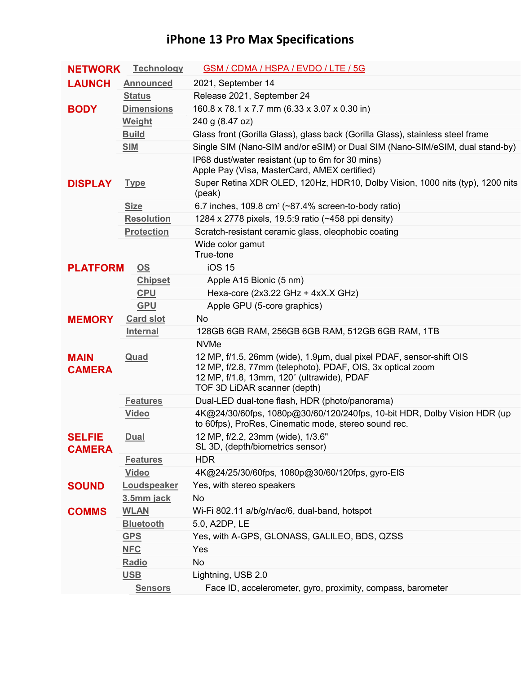## **iPhone 13 Pro Max Specifications**

| <b>NETWORK</b>                 | <b>Technology</b>         | GSM / CDMA / HSPA / EVDO / LTE / 5G                                                                                                                                                                                            |
|--------------------------------|---------------------------|--------------------------------------------------------------------------------------------------------------------------------------------------------------------------------------------------------------------------------|
| <b>LAUNCH</b>                  | <b>Announced</b>          | 2021, September 14                                                                                                                                                                                                             |
|                                | <b>Status</b>             | Release 2021, September 24                                                                                                                                                                                                     |
| <b>BODY</b>                    | <b>Dimensions</b>         | 160.8 x 78.1 x 7.7 mm (6.33 x 3.07 x 0.30 in)                                                                                                                                                                                  |
|                                | <b>Weight</b>             | 240 g (8.47 oz)                                                                                                                                                                                                                |
|                                | <b>Build</b>              | Glass front (Gorilla Glass), glass back (Gorilla Glass), stainless steel frame                                                                                                                                                 |
|                                | <b>SIM</b>                | Single SIM (Nano-SIM and/or eSIM) or Dual SIM (Nano-SIM/eSIM, dual stand-by)                                                                                                                                                   |
|                                |                           | IP68 dust/water resistant (up to 6m for 30 mins)<br>Apple Pay (Visa, MasterCard, AMEX certified)                                                                                                                               |
| <b>DISPLAY</b>                 | <b>Type</b>               | Super Retina XDR OLED, 120Hz, HDR10, Dolby Vision, 1000 nits (typ), 1200 nits<br>(peak)                                                                                                                                        |
|                                | <b>Size</b>               | 6.7 inches, 109.8 cm <sup>2</sup> ( $\sim$ 87.4% screen-to-body ratio)                                                                                                                                                         |
|                                | <b>Resolution</b>         | 1284 x 2778 pixels, 19.5:9 ratio (~458 ppi density)                                                                                                                                                                            |
|                                | <b>Protection</b>         | Scratch-resistant ceramic glass, oleophobic coating                                                                                                                                                                            |
|                                |                           | Wide color gamut<br>True-tone<br><b>iOS 15</b>                                                                                                                                                                                 |
| <b>PLATFORM</b>                | $\underline{\mathsf{OS}}$ |                                                                                                                                                                                                                                |
|                                | <b>Chipset</b>            | Apple A15 Bionic (5 nm)                                                                                                                                                                                                        |
|                                | <b>CPU</b>                | Hexa-core (2x3.22 GHz + 4xX.X GHz)                                                                                                                                                                                             |
|                                | <b>GPU</b>                | Apple GPU (5-core graphics)                                                                                                                                                                                                    |
| <b>MEMORY</b>                  | <b>Card slot</b>          | <b>No</b>                                                                                                                                                                                                                      |
|                                | <b>Internal</b>           | 128GB 6GB RAM, 256GB 6GB RAM, 512GB 6GB RAM, 1TB                                                                                                                                                                               |
| <b>MAIN</b><br><b>CAMERA</b>   | Quad                      | <b>NVMe</b><br>12 MP, f/1.5, 26mm (wide), 1.9µm, dual pixel PDAF, sensor-shift OIS<br>12 MP, f/2.8, 77mm (telephoto), PDAF, OIS, 3x optical zoom<br>12 MP, f/1.8, 13mm, 120° (ultrawide), PDAF<br>TOF 3D LiDAR scanner (depth) |
|                                | <b>Features</b>           | Dual-LED dual-tone flash, HDR (photo/panorama)                                                                                                                                                                                 |
|                                | <b>Video</b>              | 4K@24/30/60fps, 1080p@30/60/120/240fps, 10-bit HDR, Dolby Vision HDR (up                                                                                                                                                       |
|                                |                           | to 60fps), ProRes, Cinematic mode, stereo sound rec.                                                                                                                                                                           |
| <b>SELFIE</b><br><b>CAMERA</b> | <b>Dual</b>               | 12 MP, f/2.2, 23mm (wide), 1/3.6"<br>SL 3D, (depth/biometrics sensor)                                                                                                                                                          |
|                                | <b>Features</b>           | <b>HDR</b>                                                                                                                                                                                                                     |
|                                | <b>Video</b>              | 4K@24/25/30/60fps, 1080p@30/60/120fps, gyro-EIS                                                                                                                                                                                |
| <b>SOUND</b>                   | Loudspeaker               | Yes, with stereo speakers                                                                                                                                                                                                      |
|                                | 3.5mm jack                | No                                                                                                                                                                                                                             |
| <b>COMMS</b>                   | <b>WLAN</b>               | Wi-Fi 802.11 a/b/g/n/ac/6, dual-band, hotspot                                                                                                                                                                                  |
|                                | <b>Bluetooth</b>          | 5.0, A2DP, LE                                                                                                                                                                                                                  |
|                                | <b>GPS</b>                | Yes, with A-GPS, GLONASS, GALILEO, BDS, QZSS                                                                                                                                                                                   |
|                                | <b>NFC</b>                | Yes                                                                                                                                                                                                                            |
|                                | Radio                     | No                                                                                                                                                                                                                             |
|                                | <u>USB</u>                | Lightning, USB 2.0                                                                                                                                                                                                             |
|                                | <b>Sensors</b>            | Face ID, accelerometer, gyro, proximity, compass, barometer                                                                                                                                                                    |